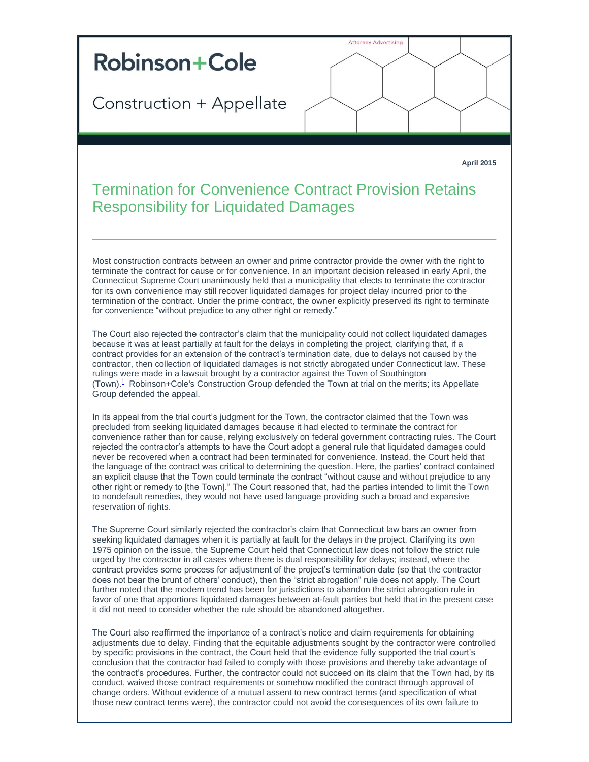## **Robinson+Cole**

Construction + Appellate

**Attorney Advertising** 

**April 2015**

## Termination for Convenience Contract Provision Retains Responsibility for Liquidated Damages

Most construction contracts between an owner and prime contractor provide the owner with the right to terminate the contract for cause or for convenience. In an important decision released in early April, the Connecticut Supreme Court unanimously held that a municipality that elects to terminate the contractor for its own convenience may still recover liquidated damages for project delay incurred prior to the termination of the contract. Under the prime contract, the owner explicitly preserved its right to terminate for convenience "without prejudice to any other right or remedy."

The Court also rejected the contractor's claim that the municipality could not collect liquidated damages because it was at least partially at fault for the delays in completing the project, clarifying that, if a contract provides for an extension of the contract's termination date, due to delays not caused by the contractor, then collection of liquidated damages is not strictly abrogated under Connecticut law. These rulings were made in a lawsuit brought by a contractor against the Town of Southington (Town)[.](#page-1-0)<sup>1</sup> Robinson+Cole's Construction Group defended the Town at trial on the merits; its Appellate Group defended the appeal.

In its appeal from the trial court's judgment for the Town, the contractor claimed that the Town was precluded from seeking liquidated damages because it had elected to terminate the contract for convenience rather than for cause, relying exclusively on federal government contracting rules. The Court rejected the contractor's attempts to have the Court adopt a general rule that liquidated damages could never be recovered when a contract had been terminated for convenience. Instead, the Court held that the language of the contract was critical to determining the question. Here, the parties' contract contained an explicit clause that the Town could terminate the contract "without cause and without prejudice to any other right or remedy to [the Town]." The Court reasoned that, had the parties intended to limit the Town to nondefault remedies, they would not have used language providing such a broad and expansive reservation of rights.

The Supreme Court similarly rejected the contractor's claim that Connecticut law bars an owner from seeking liquidated damages when it is partially at fault for the delays in the project. Clarifying its own 1975 opinion on the issue, the Supreme Court held that Connecticut law does not follow the strict rule urged by the contractor in all cases where there is dual responsibility for delays; instead, where the contract provides some process for adjustment of the project's termination date (so that the contractor does not bear the brunt of others' conduct), then the "strict abrogation" rule does not apply. The Court further noted that the modern trend has been for jurisdictions to abandon the strict abrogation rule in favor of one that apportions liquidated damages between at-fault parties but held that in the present case it did not need to consider whether the rule should be abandoned altogether.

The Court also reaffirmed the importance of a contract's notice and claim requirements for obtaining adjustments due to delay. Finding that the equitable adjustments sought by the contractor were controlled by specific provisions in the contract, the Court held that the evidence fully supported the trial court's conclusion that the contractor had failed to comply with those provisions and thereby take advantage of the contract's procedures. Further, the contractor could not succeed on its claim that the Town had, by its conduct, waived those contract requirements or somehow modified the contract through approval of change orders. Without evidence of a mutual assent to new contract terms (and specification of what those new contract terms were), the contractor could not avoid the consequences of its own failure to